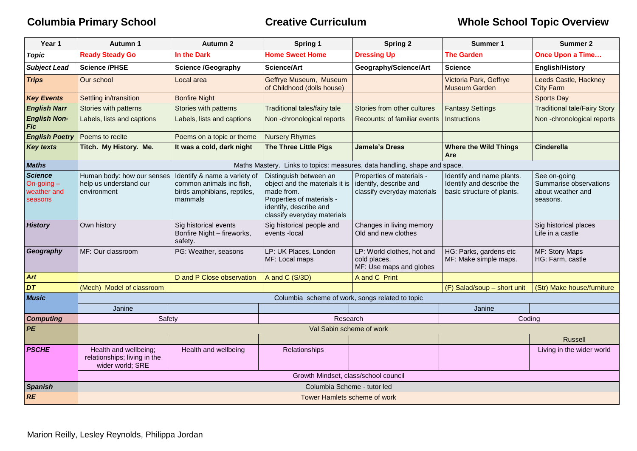| Year 1                                                   | <b>Autumn 1</b>                                                           | <b>Autumn 2</b>                                                                                    | Spring 1                                                                                                                                                     | <b>Spring 2</b>                                                                    | <b>Summer 1</b>                                                                      | <b>Summer 2</b>                                                         |  |  |
|----------------------------------------------------------|---------------------------------------------------------------------------|----------------------------------------------------------------------------------------------------|--------------------------------------------------------------------------------------------------------------------------------------------------------------|------------------------------------------------------------------------------------|--------------------------------------------------------------------------------------|-------------------------------------------------------------------------|--|--|
| <b>Topic</b>                                             | <b>Ready Steady Go</b>                                                    | In the Dark                                                                                        | <b>Home Sweet Home</b>                                                                                                                                       | <b>Dressing Up</b>                                                                 | <b>The Garden</b>                                                                    | <b>Once Upon a Time</b>                                                 |  |  |
| <b>Subject Lead</b>                                      | <b>Science /PHSE</b>                                                      | <b>Science /Geography</b>                                                                          | <b>Science/Art</b>                                                                                                                                           | Geography/Science/Art                                                              | <b>Science</b>                                                                       | <b>English/History</b>                                                  |  |  |
| <b>Trips</b>                                             | Our school                                                                | Local area                                                                                         | Geffrye Museum, Museum<br>of Childhood (dolls house)                                                                                                         |                                                                                    | Victoria Park, Geffrye<br><b>Museum Garden</b>                                       | Leeds Castle, Hackney<br><b>City Farm</b>                               |  |  |
| <b>Key Events</b>                                        | Settling in/transition                                                    | <b>Bonfire Night</b>                                                                               |                                                                                                                                                              |                                                                                    |                                                                                      | <b>Sports Day</b>                                                       |  |  |
| <b>English Narr</b>                                      | Stories with patterns                                                     | Stories with patterns                                                                              | Traditional tales/fairy tale                                                                                                                                 | Stories from other cultures                                                        | <b>Fantasy Settings</b>                                                              | <b>Traditional tale/Fairy Story</b>                                     |  |  |
| <b>English Non-</b><br><b>Fic</b>                        | Labels, lists and captions                                                | Labels, lists and captions                                                                         | Non-chronological reports                                                                                                                                    | Recounts: of familiar events                                                       | <b>Instructions</b>                                                                  | Non-chronological reports                                               |  |  |
| <b>English Poetry</b>                                    | Poems to recite                                                           | Poems on a topic or theme                                                                          | <b>Nursery Rhymes</b>                                                                                                                                        |                                                                                    |                                                                                      |                                                                         |  |  |
| <b>Key texts</b>                                         | Titch. My History. Me.                                                    | It was a cold, dark night                                                                          | <b>The Three Little Pigs</b>                                                                                                                                 | <b>Jamela's Dress</b>                                                              | <b>Where the Wild Things</b><br>Are                                                  | <b>Cinderella</b>                                                       |  |  |
| <b>Maths</b>                                             |                                                                           |                                                                                                    | Maths Mastery. Links to topics: measures, data handling, shape and space.                                                                                    |                                                                                    |                                                                                      |                                                                         |  |  |
| <b>Science</b><br>On-going $-$<br>weather and<br>seasons | Human body: how our senses<br>help us understand our<br>environment       | Identify & name a variety of<br>common animals inc fish,<br>birds amphibians, reptiles,<br>mammals | Distinguish between an<br>object and the materials it is<br>made from.<br>Properties of materials -<br>identify, describe and<br>classify everyday materials | Properties of materials -<br>identify, describe and<br>classify everyday materials | Identify and name plants.<br>Identify and describe the<br>basic structure of plants. | See on-going<br>Summarise observations<br>about weather and<br>seasons. |  |  |
| <b>History</b>                                           | Own history                                                               | Sig historical events<br>Bonfire Night - fireworks,<br>safety.                                     | Sig historical people and<br>events -local                                                                                                                   | Changes in living memory<br>Old and new clothes                                    |                                                                                      | Sig historical places<br>Life in a castle                               |  |  |
| Geography                                                | MF: Our classroom                                                         | PG: Weather, seasons                                                                               | LP: UK Places, London<br>MF: Local maps                                                                                                                      | LP: World clothes, hot and<br>cold places.<br>MF: Use maps and globes              | HG: Parks, gardens etc<br>MF: Make simple maps.                                      | MF: Story Maps<br>HG: Farm, castle                                      |  |  |
| Art                                                      |                                                                           | D and P Close observation                                                                          | A and C (S/3D)                                                                                                                                               | A and C Print                                                                      |                                                                                      |                                                                         |  |  |
| DT                                                       | (Mech) Model of classroom                                                 |                                                                                                    |                                                                                                                                                              |                                                                                    | (F) Salad/soup - short unit                                                          | (Str) Make house/furniture                                              |  |  |
| <b>Music</b>                                             | Columbia scheme of work, songs related to topic                           |                                                                                                    |                                                                                                                                                              |                                                                                    |                                                                                      |                                                                         |  |  |
|                                                          | Janine                                                                    |                                                                                                    |                                                                                                                                                              |                                                                                    | Janine                                                                               |                                                                         |  |  |
| <b>Computing</b>                                         | Safety                                                                    |                                                                                                    | Research                                                                                                                                                     |                                                                                    | Coding                                                                               |                                                                         |  |  |
| PE                                                       | Val Sabin scheme of work                                                  |                                                                                                    |                                                                                                                                                              |                                                                                    |                                                                                      |                                                                         |  |  |
|                                                          |                                                                           |                                                                                                    |                                                                                                                                                              |                                                                                    |                                                                                      | <b>Russell</b>                                                          |  |  |
| <b>PSCHE</b>                                             | Health and wellbeing;<br>relationships; living in the<br>wider world; SRE | Health and wellbeing                                                                               | Relationships                                                                                                                                                |                                                                                    |                                                                                      | Living in the wider world                                               |  |  |
|                                                          | Growth Mindset, class/school council                                      |                                                                                                    |                                                                                                                                                              |                                                                                    |                                                                                      |                                                                         |  |  |
| <b>Spanish</b>                                           | Columbia Scheme - tutor led                                               |                                                                                                    |                                                                                                                                                              |                                                                                    |                                                                                      |                                                                         |  |  |
| RE                                                       | Tower Hamlets scheme of work                                              |                                                                                                    |                                                                                                                                                              |                                                                                    |                                                                                      |                                                                         |  |  |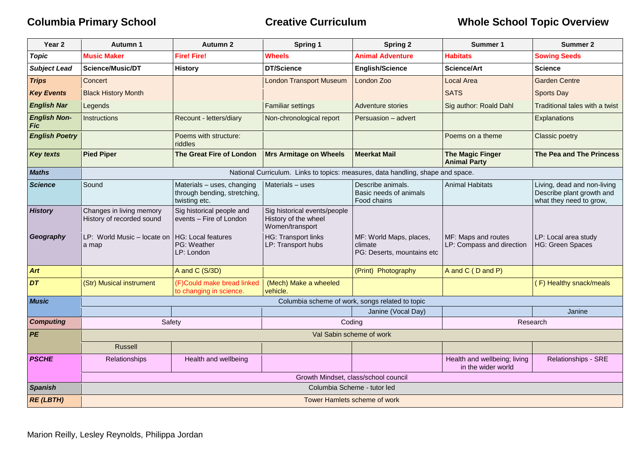| Year <sub>2</sub>          | Autumn 1                                              | <b>Autumn 2</b>                                                             | Spring 1                                                                | <b>Spring 2</b>                                                                 | Summer 1                                           | <b>Summer 2</b>                                                                     |
|----------------------------|-------------------------------------------------------|-----------------------------------------------------------------------------|-------------------------------------------------------------------------|---------------------------------------------------------------------------------|----------------------------------------------------|-------------------------------------------------------------------------------------|
| <b>Topic</b>               | <b>Music Maker</b>                                    | <b>Fire! Fire!</b>                                                          | Wheels                                                                  | <b>Animal Adventure</b>                                                         | <b>Habitats</b>                                    | <b>Sowing Seeds</b>                                                                 |
| <b>Subject Lead</b>        | Science/Music/DT                                      | <b>History</b>                                                              | <b>DT/Science</b>                                                       | <b>English/Science</b>                                                          | Science/Art                                        | <b>Science</b>                                                                      |
| <b>Trips</b>               | Concert                                               |                                                                             | <b>London Transport Museum</b>                                          | London Zoo                                                                      | <b>Local Area</b>                                  | <b>Garden Centre</b>                                                                |
| <b>Key Events</b>          | <b>Black History Month</b>                            |                                                                             |                                                                         |                                                                                 | <b>SATS</b>                                        | <b>Sports Day</b>                                                                   |
| <b>English Nar</b>         | Legends                                               |                                                                             | <b>Familiar settings</b>                                                | Adventure stories                                                               | Sig author: Roald Dahl                             | Traditional tales with a twist                                                      |
| <b>English Non-</b><br>Fic | <b>Instructions</b>                                   | Recount - letters/diary                                                     | Non-chronological report                                                | Persuasion - advert                                                             |                                                    | Explanations                                                                        |
| <b>English Poetry</b>      |                                                       | Poems with structure:<br>riddles                                            |                                                                         |                                                                                 | Poems on a theme                                   | Classic poetry                                                                      |
| <b>Key texts</b>           | <b>Pied Piper</b>                                     | The Great Fire of London                                                    | <b>Mrs Armitage on Wheels</b>                                           | <b>Meerkat Mail</b>                                                             | <b>The Magic Finger</b><br><b>Animal Party</b>     | The Pea and The Princess                                                            |
| <b>Maths</b>               |                                                       |                                                                             |                                                                         | National Curriculum. Links to topics: measures, data handling, shape and space. |                                                    |                                                                                     |
| Science                    | Sound                                                 | Materials - uses, changing<br>through bending, stretching,<br>twisting etc. | Materials - uses                                                        | Describe animals.<br>Basic needs of animals<br>Food chains                      | Animal Habitats                                    | Living, dead and non-living<br>Describe plant growth and<br>what they need to grow, |
| <b>History</b>             | Changes in living memory<br>History of recorded sound | Sig historical people and<br>events - Fire of London                        | Sig historical events/people<br>History of the wheel<br>Women/transport |                                                                                 |                                                    |                                                                                     |
| Geography                  | LP: World Music - locate on<br>a map                  | <b>HG: Local features</b><br>PG: Weather<br>LP: London                      | <b>HG: Transport links</b><br>LP: Transport hubs                        | MF: World Maps, places,<br>climate<br>PG: Deserts, mountains etc                | MF: Maps and routes<br>LP: Compass and direction   | LP: Local area study<br><b>HG: Green Spaces</b>                                     |
| Art                        |                                                       | A and C (S/3D)                                                              |                                                                         | (Print) Photography                                                             | A and C (D and P)                                  |                                                                                     |
| DT                         | (Str) Musical instrument                              | (F)Could make bread linked<br>to changing in science.                       | (Mech) Make a wheeled<br>vehicle.                                       |                                                                                 |                                                    | (F) Healthy snack/meals                                                             |
| <b>Music</b>               |                                                       |                                                                             |                                                                         | Columbia scheme of work, songs related to topic                                 |                                                    |                                                                                     |
|                            |                                                       |                                                                             |                                                                         | Janine (Vocal Day)                                                              |                                                    | Janine                                                                              |
| <b>Computing</b>           | Safety                                                |                                                                             | Coding<br>Research                                                      |                                                                                 |                                                    |                                                                                     |
| <b>PE</b>                  | Val Sabin scheme of work                              |                                                                             |                                                                         |                                                                                 |                                                    |                                                                                     |
|                            | <b>Russell</b>                                        |                                                                             |                                                                         |                                                                                 |                                                    |                                                                                     |
| <b>PSCHE</b>               | Relationships                                         | Health and wellbeing                                                        |                                                                         |                                                                                 | Health and wellbeing; living<br>in the wider world | Relationships - SRE                                                                 |
|                            | Growth Mindset, class/school council                  |                                                                             |                                                                         |                                                                                 |                                                    |                                                                                     |
| <b>Spanish</b>             | Columbia Scheme - tutor led                           |                                                                             |                                                                         |                                                                                 |                                                    |                                                                                     |
| <b>RE (LBTH)</b>           | Tower Hamlets scheme of work                          |                                                                             |                                                                         |                                                                                 |                                                    |                                                                                     |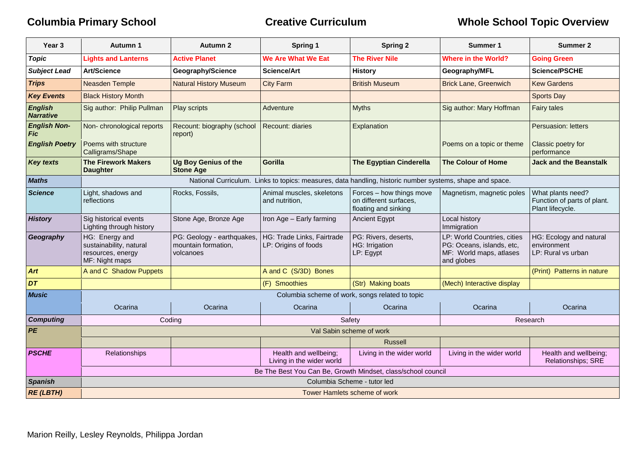| Year <sub>3</sub>                  | Autumn 1                                                                         | <b>Autumn 2</b>                                                | Spring 1                                           | <b>Spring 2</b>                                                                                          | Summer 1                                                                                          | <b>Summer 2</b>                                                      |  |
|------------------------------------|----------------------------------------------------------------------------------|----------------------------------------------------------------|----------------------------------------------------|----------------------------------------------------------------------------------------------------------|---------------------------------------------------------------------------------------------------|----------------------------------------------------------------------|--|
| <b>Topic</b>                       | <b>Lights and Lanterns</b>                                                       | <b>Active Planet</b>                                           | We Are What We Eat                                 | <b>The River Nile</b>                                                                                    | <b>Where in the World?</b>                                                                        | <b>Going Green</b>                                                   |  |
| <b>Subject Lead</b>                | <b>Art/Science</b>                                                               | Geography/Science                                              | <b>Science/Art</b>                                 | <b>History</b>                                                                                           | Geography/MFL                                                                                     | <b>Science/PSCHE</b>                                                 |  |
| <b>Trips</b>                       | <b>Neasden Temple</b>                                                            | <b>Natural History Museum</b>                                  | <b>City Farm</b>                                   | <b>British Museum</b>                                                                                    | <b>Brick Lane, Greenwich</b>                                                                      | <b>Kew Gardens</b>                                                   |  |
| <b>Key Events</b>                  | <b>Black History Month</b>                                                       |                                                                |                                                    |                                                                                                          |                                                                                                   | <b>Sports Day</b>                                                    |  |
| <b>English</b><br><b>Narrative</b> | Sig author: Philip Pullman                                                       | Play scripts                                                   | Adventure                                          | <b>Myths</b>                                                                                             | Sig author: Mary Hoffman                                                                          | <b>Fairy tales</b>                                                   |  |
| <b>English Non-</b><br>Fic         | Non-chronological reports                                                        | Recount: biography (school<br>report)                          | <b>Recount: diaries</b>                            | Explanation                                                                                              |                                                                                                   | Persuasion: letters                                                  |  |
| <b>English Poetry</b>              | Poems with structure<br>Calligrams/Shape                                         |                                                                |                                                    |                                                                                                          | Poems on a topic or theme                                                                         | Classic poetry for<br>performance                                    |  |
| <b>Key texts</b>                   | <b>The Firework Makers</b><br><b>Daughter</b>                                    | <b>Ug Boy Genius of the</b><br><b>Stone Age</b>                | <b>Gorilla</b>                                     | <b>The Egyptian Cinderella</b>                                                                           | <b>The Colour of Home</b>                                                                         | <b>Jack and the Beanstalk</b>                                        |  |
| <b>Maths</b>                       |                                                                                  |                                                                |                                                    | National Curriculum. Links to topics: measures, data handling, historic number systems, shape and space. |                                                                                                   |                                                                      |  |
| <b>Science</b>                     | Light, shadows and<br>reflections                                                | Rocks, Fossils,                                                | Animal muscles, skeletons<br>and nutrition,        | Forces - how things move<br>on different surfaces,<br>floating and sinking                               | Magnetism, magnetic poles                                                                         | What plants need?<br>Function of parts of plant.<br>Plant lifecycle. |  |
| <b>History</b>                     | Sig historical events<br>Lighting through history                                | Stone Age, Bronze Age                                          | Iron Age - Early farming                           | <b>Ancient Egypt</b>                                                                                     | Local history<br>Immigration                                                                      |                                                                      |  |
| Geography                          | HG: Energy and<br>sustainability, natural<br>resources, energy<br>MF: Night maps | PG: Geology - earthquakes,<br>mountain formation,<br>volcanoes | HG: Trade Links, Fairtrade<br>LP: Origins of foods | PG: Rivers, deserts,<br>HG: Irrigation<br>LP: Egypt                                                      | LP: World Countries, cities<br>PG: Oceans, islands, etc,<br>MF: World maps, atlases<br>and globes | HG: Ecology and natural<br>environment<br>LP: Rural vs urban         |  |
| Art                                | A and C Shadow Puppets                                                           |                                                                | A and C (S/3D) Bones                               |                                                                                                          |                                                                                                   | (Print) Patterns in nature                                           |  |
| DT                                 |                                                                                  |                                                                | (F) Smoothies                                      | (Str) Making boats                                                                                       | (Mech) Interactive display                                                                        |                                                                      |  |
| <b>Music</b>                       |                                                                                  |                                                                |                                                    | Columbia scheme of work, songs related to topic                                                          |                                                                                                   |                                                                      |  |
|                                    | Ocarina                                                                          | Ocarina                                                        | Ocarina                                            | Ocarina                                                                                                  | Ocarina                                                                                           | Ocarina                                                              |  |
| <b>Computing</b>                   |                                                                                  | Safety<br>Coding<br>Research                                   |                                                    |                                                                                                          |                                                                                                   |                                                                      |  |
| PE                                 | Val Sabin scheme of work                                                         |                                                                |                                                    |                                                                                                          |                                                                                                   |                                                                      |  |
|                                    |                                                                                  |                                                                |                                                    | <b>Russell</b>                                                                                           |                                                                                                   |                                                                      |  |
| <b>PSCHE</b>                       | Relationships                                                                    |                                                                | Health and wellbeing;<br>Living in the wider world | Living in the wider world                                                                                | Living in the wider world                                                                         | Health and wellbeing;<br>Relationships; SRE                          |  |
|                                    | Be The Best You Can Be, Growth Mindset, class/school council                     |                                                                |                                                    |                                                                                                          |                                                                                                   |                                                                      |  |
| <b>Spanish</b>                     | Columbia Scheme - tutor led                                                      |                                                                |                                                    |                                                                                                          |                                                                                                   |                                                                      |  |
| <b>RE (LBTH)</b>                   | Tower Hamlets scheme of work                                                     |                                                                |                                                    |                                                                                                          |                                                                                                   |                                                                      |  |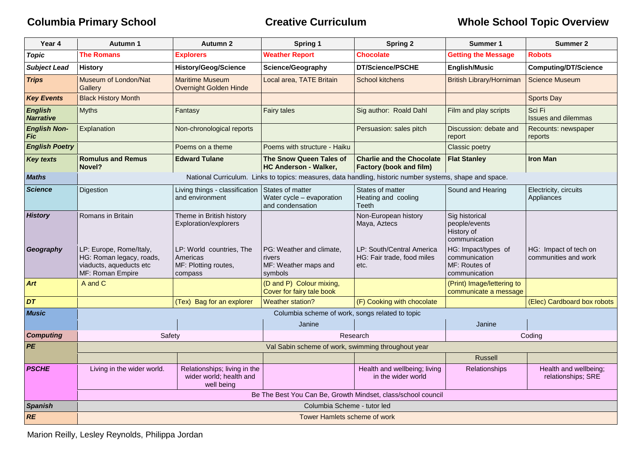| Year 4                             | Autumn 1                                                                                           | Autumn 2                                                                | <b>Spring 1</b>                                                                                          | <b>Spring 2</b>                                                    | Summer 1                                                               | Summer 2                                      |  |
|------------------------------------|----------------------------------------------------------------------------------------------------|-------------------------------------------------------------------------|----------------------------------------------------------------------------------------------------------|--------------------------------------------------------------------|------------------------------------------------------------------------|-----------------------------------------------|--|
| <b>Topic</b>                       | <b>The Romans</b>                                                                                  | <b>Explorers</b>                                                        | <b>Weather Report</b>                                                                                    | <b>Chocolate</b>                                                   | <b>Getting the Message</b>                                             | <b>Robots</b>                                 |  |
| <b>Subject Lead</b>                | <b>History</b>                                                                                     | <b>History/Geog/Science</b>                                             | Science/Geography                                                                                        | DT/Science/PSCHE                                                   | <b>English/Music</b>                                                   | <b>Computing/DT/Science</b>                   |  |
| <b>Trips</b>                       | Museum of London/Nat<br>Gallery                                                                    | <b>Maritime Museum</b><br>Overnight Golden Hinde                        | Local area, TATE Britain                                                                                 | <b>School kitchens</b>                                             | <b>British Library/Horniman</b>                                        | <b>Science Museum</b>                         |  |
| <b>Key Events</b>                  | <b>Black History Month</b>                                                                         |                                                                         |                                                                                                          |                                                                    |                                                                        | <b>Sports Day</b>                             |  |
| <b>English</b><br><b>Narrative</b> | <b>Myths</b>                                                                                       | Fantasy                                                                 | <b>Fairy tales</b>                                                                                       | Sig author: Roald Dahl                                             | Film and play scripts                                                  | Sci Fi<br><b>Issues and dilemmas</b>          |  |
| <b>English Non-</b><br><b>Fic</b>  | Explanation                                                                                        | Non-chronological reports                                               |                                                                                                          | Persuasion: sales pitch                                            | Discussion: debate and<br>report                                       | Recounts: newspaper<br>reports                |  |
| <b>English Poetry</b>              |                                                                                                    | Poems on a theme                                                        | Poems with structure - Haiku                                                                             |                                                                    | <b>Classic poetry</b>                                                  |                                               |  |
| <b>Key texts</b>                   | <b>Romulus and Remus</b><br>Novel?                                                                 | <b>Edward Tulane</b>                                                    | <b>The Snow Queen Tales of</b><br><b>HC Anderson - Walker,</b>                                           | <b>Charlie and the Chocolate</b><br><b>Factory (book and film)</b> | <b>Flat Stanley</b>                                                    | <b>Iron Man</b>                               |  |
| <b>Maths</b>                       |                                                                                                    |                                                                         | National Curriculum. Links to topics: measures, data handling, historic number systems, shape and space. |                                                                    |                                                                        |                                               |  |
| <b>Science</b>                     | Digestion                                                                                          | Living things - classification<br>and environment                       | States of matter<br>Water cycle - evaporation<br>and condensation                                        | States of matter<br>Heating and cooling<br><b>Teeth</b>            | Sound and Hearing                                                      | Electricity, circuits<br>Appliances           |  |
| <b>History</b>                     | Romans in Britain                                                                                  | Theme in British history<br>Exploration/explorers                       |                                                                                                          | Non-European history<br>Maya, Aztecs                               | Sig historical<br>people/events<br>History of<br>communication         |                                               |  |
| Geography                          | LP: Europe, Rome/Italy,<br>HG: Roman legacy, roads,<br>viaducts, aqueducts etc<br>MF: Roman Empire | LP: World countries, The<br>Americas<br>MF: Plotting routes,<br>compass | PG: Weather and climate,<br>rivers<br>MF: Weather maps and<br>symbols                                    | LP: South/Central America<br>HG: Fair trade, food miles<br>etc.    | HG: Impact/types of<br>communication<br>MF: Routes of<br>communication | HG: Impact of tech on<br>communities and work |  |
| <b>Art</b>                         | A and C                                                                                            |                                                                         | (D and P) Colour mixing,<br>Cover for fairy tale book                                                    |                                                                    | (Print) Image/lettering to<br>communicate a message                    |                                               |  |
| DT                                 |                                                                                                    | (Tex) Bag for an explorer                                               | Weather station?                                                                                         | (F) Cooking with chocolate                                         |                                                                        | (Elec) Cardboard box robots                   |  |
| <b>Music</b>                       |                                                                                                    |                                                                         | Columbia scheme of work, songs related to topic                                                          |                                                                    |                                                                        |                                               |  |
|                                    |                                                                                                    |                                                                         | Janine                                                                                                   |                                                                    | Janine                                                                 |                                               |  |
| <b>Computing</b>                   | Research<br>Safety<br>Coding                                                                       |                                                                         |                                                                                                          |                                                                    |                                                                        |                                               |  |
| PE                                 | Val Sabin scheme of work, swimming throughout year                                                 |                                                                         |                                                                                                          |                                                                    |                                                                        |                                               |  |
| <b>PSCHE</b>                       | Living in the wider world.                                                                         | Relationships; living in the                                            |                                                                                                          | Health and wellbeing; living                                       | <b>Russell</b><br>Relationships                                        | Health and wellbeing;                         |  |
|                                    |                                                                                                    | wider world; health and<br>well being                                   |                                                                                                          | in the wider world                                                 |                                                                        | relationships; SRE                            |  |
|                                    | Be The Best You Can Be, Growth Mindset, class/school council                                       |                                                                         |                                                                                                          |                                                                    |                                                                        |                                               |  |
| <b>Spanish</b>                     | Columbia Scheme - tutor led                                                                        |                                                                         |                                                                                                          |                                                                    |                                                                        |                                               |  |
| <b>RE</b>                          | Tower Hamlets scheme of work                                                                       |                                                                         |                                                                                                          |                                                                    |                                                                        |                                               |  |

Marion Reilly, Lesley Reynolds, Philippa Jordan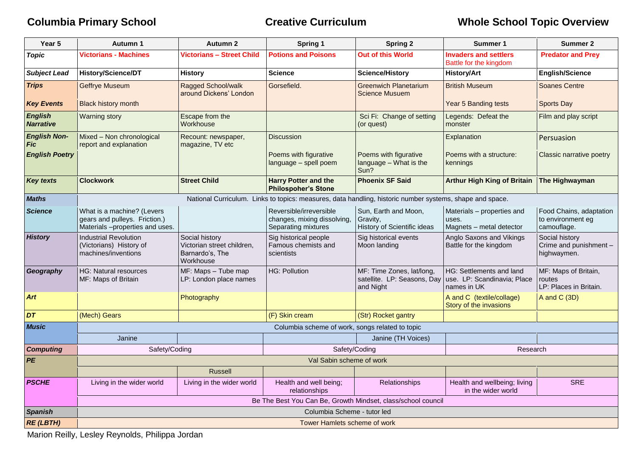| Year 5                             | <b>Autumn 1</b>                                                                                          | <b>Autumn 2</b>                                                              | <b>Spring 1</b>                                                               | <b>Spring 2</b>                                                       | <b>Summer 1</b>                                                        | <b>Summer 2</b>                                             |
|------------------------------------|----------------------------------------------------------------------------------------------------------|------------------------------------------------------------------------------|-------------------------------------------------------------------------------|-----------------------------------------------------------------------|------------------------------------------------------------------------|-------------------------------------------------------------|
| <b>Topic</b>                       | <b>Victorians - Machines</b>                                                                             | <b>Victorians - Street Child</b>                                             | <b>Potions and Poisons</b>                                                    | <b>Out of this World</b>                                              | <b>Invaders and settlers</b><br>Battle for the kingdom                 | <b>Predator and Prey</b>                                    |
| <b>Subject Lead</b>                | History/Science/DT                                                                                       | <b>History</b>                                                               | <b>Science</b>                                                                | <b>Science/History</b>                                                | <b>History/Art</b>                                                     | <b>English/Science</b>                                      |
| <b>Trips</b>                       | <b>Geffrye Museum</b>                                                                                    | Ragged School/walk<br>around Dickens' London                                 | Gorsefield.                                                                   | <b>Greenwich Planetarium</b><br><b>Science Musuem</b>                 | <b>British Museum</b>                                                  | <b>Soanes Centre</b>                                        |
| <b>Key Events</b>                  | <b>Black history month</b>                                                                               |                                                                              |                                                                               |                                                                       | Year 5 Banding tests                                                   | <b>Sports Day</b>                                           |
| <b>English</b><br><b>Narrative</b> | <b>Warning story</b>                                                                                     | Escape from the<br>Workhouse                                                 |                                                                               | Sci Fi: Change of setting<br>(or quest)                               | Legends: Defeat the<br>monster                                         | Film and play script                                        |
| <b>English Non-</b><br>Fic         | Mixed - Non chronological<br>report and explanation                                                      | Recount: newspaper,<br>magazine, TV etc                                      | <b>Discussion</b>                                                             |                                                                       | Explanation                                                            | Persuasion                                                  |
| <b>English Poetry</b>              |                                                                                                          |                                                                              | Poems with figurative<br>language - spell poem                                | Poems with figurative<br>language - What is the<br>Sun?               | Poems with a structure:<br>kennings                                    | Classic narrative poetry                                    |
| <b>Key texts</b>                   | <b>Clockwork</b>                                                                                         | <b>Street Child</b>                                                          | <b>Harry Potter and the</b><br><b>Philospoher's Stone</b>                     | <b>Phoenix SF Said</b>                                                | <b>Arthur High King of Britain</b>                                     | The Highwayman                                              |
| <b>Maths</b>                       | National Curriculum. Links to topics: measures, data handling, historic number systems, shape and space. |                                                                              |                                                                               |                                                                       |                                                                        |                                                             |
| <b>Science</b>                     | What is a machine? (Levers<br>gears and pulleys. Friction.)<br>Materials -properties and uses.           |                                                                              | Reversible/irreversible<br>changes, mixing dissolving,<br>Separating mixtures | Sun, Earth and Moon,<br>Gravity,<br>History of Scientific ideas       | Materials - properties and<br>uses.<br>Magnets - metal detector        | Food Chains, adaptation<br>to environment eg<br>camouflage. |
| <b>History</b>                     | <b>Industrial Revolution</b><br>(Victorians) History of<br>machines/inventions                           | Social history<br>Victorian street children,<br>Barnardo's, The<br>Workhouse | Sig historical people<br>Famous chemists and<br>scientists                    | Sig historical events<br>Moon landing                                 | Anglo Saxons and Vikings<br>Battle for the kingdom                     | Social history<br>Crime and punishment -<br>highwaymen.     |
| Geography                          | <b>HG: Natural resources</b><br>MF: Maps of Britain                                                      | MF: Maps - Tube map<br>LP: London place names                                | <b>HG: Pollution</b>                                                          | MF: Time Zones, lat/long,<br>satellite. LP: Seasons, Day<br>and Night | HG: Settlements and land<br>use. LP: Scandinavia; Place<br>names in UK | MF: Maps of Britain,<br>routes<br>LP: Places in Britain.    |
| <b>Art</b>                         |                                                                                                          | Photography                                                                  |                                                                               |                                                                       | A and C (textile/collage)<br>Story of the invasions                    | A and C (3D)                                                |
| DT                                 | (Mech) Gears                                                                                             |                                                                              | (F) Skin cream                                                                | (Str) Rocket gantry                                                   |                                                                        |                                                             |
| <b>Music</b>                       |                                                                                                          |                                                                              | Columbia scheme of work, songs related to topic                               |                                                                       |                                                                        |                                                             |
|                                    | Janine                                                                                                   |                                                                              |                                                                               | Janine (TH Voices)                                                    |                                                                        |                                                             |
| <b>Computing</b>                   | Safety/Coding<br>Safety/Coding<br>Research                                                               |                                                                              |                                                                               |                                                                       |                                                                        |                                                             |
| PE                                 |                                                                                                          |                                                                              | Val Sabin scheme of work                                                      |                                                                       |                                                                        |                                                             |
| <b>PSCHE</b>                       | Living in the wider world                                                                                | <b>Russell</b><br>Living in the wider world                                  | Health and well being;<br>relationships                                       | Relationships                                                         | Health and wellbeing; living<br>in the wider world                     | <b>SRE</b>                                                  |
|                                    |                                                                                                          |                                                                              | Be The Best You Can Be, Growth Mindset, class/school council                  |                                                                       |                                                                        |                                                             |
| <b>Spanish</b>                     | Columbia Scheme - tutor led                                                                              |                                                                              |                                                                               |                                                                       |                                                                        |                                                             |
| <b>RE (LBTH)</b>                   | Tower Hamlets scheme of work                                                                             |                                                                              |                                                                               |                                                                       |                                                                        |                                                             |

Marion Reilly, Lesley Reynolds, Philippa Jordan